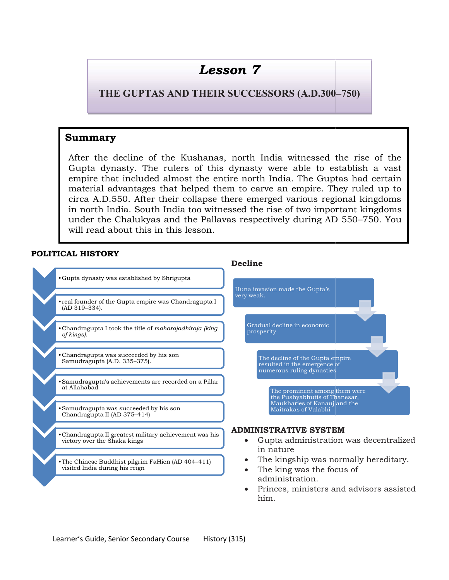# Lesson 7

THE GUPTAS AND THEIR SUCCESSORS (A.D.300-

# Summary

After the decline of the Kushanas, north India witnessed the rise of the Gupta dynasty. The rulers of this dynasty were able to establish a vast empire that included almost the entire north India. The Guptas had certain material advantages that helped them to carve an empire. They ruled up to circa A.D.550. After their collapse there emerged various regional kingdoms empire that included almost the entire north India. The Guptas had certain material advantages that helped them to carve an empire. They ruled up to circa A.D.550. After their collapse there emerged various regional kingdo under the Chalukyas and the Pallavas respectively during AD 550 550–750. You will read about this in this lesson. the decline of the Kushanas, north India witnessed the rise of the<br>dynasty. The rulers of this dynasty were able to establish a vast<br>e that included almost the entire north India. The Guptas had certain

# POLITICAL HISTORY

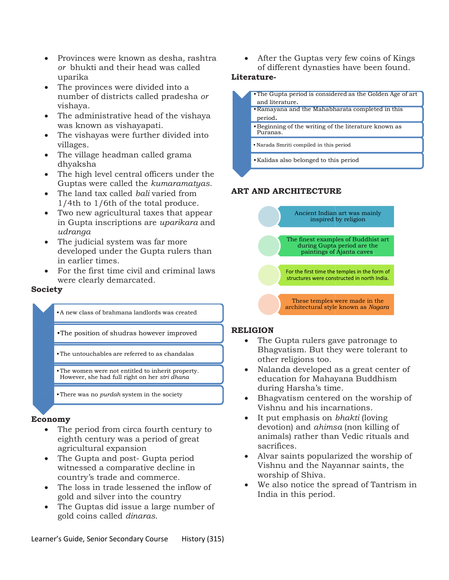- Provinces were known as desha , rashtra or bhukti and their head was called uparika
- The provinces were divided into a number of districts called pradesha or vishaya.
- The administrative head of the vishaya was known as vishayapati.
- The vishayas were further divided into villages.
- The village headman called grama dhyaksha
- The high level central officers under the Guptas were called the kumaramatyas.
- The land tax called *bali* varied from 1/4th to 1/6th of the total produce. • The land tax called *bali* varied from<br>1/4th to 1/6th of the total produce.<br>• Two new agricultural taxes that appear
- in Gupta inscriptions are *uparikara* and udranga
- The judicial system was far more developed under the Gupta rulers than in earlier times.
- For the first time civil and criminal laws were clearly demarcated. Fried Gupta rulers than<br>
The civil and criminal laws<br>
marcated.<br>
The civil and criminal laws<br>
mana landlords was created<br>
udras however improved<br>
re referred to as chandalas<br>
The strip drama<br>
In right on her strip dhana<br>
T

#### Society

- •A new class of brahmana landlords was created
- A new class of brahmana landlords was created<br>The position of shudras however improved<br>The position of shudras however improved
- 
- •The women were not entitled to inherit property. However, she had full right on her stri dhana The untouchables are referred to as chandalas other religion<br>The women were not entitled to inherit property.<br>However, she had full right on her *stri dhana*<br>There was no *purdah* system in the society
- •There was no *purdah* system in the society

#### Economy

- The period from circa fourth century to eighth century was a period of great agricultural expansion
- The Gupta and post- Gupta period witnessed a comparative decline in country's trade and commerce.
- The loss in trade lessened the inflow of gold and silver into the country
- The Guptas did issue a large number of gold coins called dinaras.

of different dynasties have been found. have

#### Literature-



•Kalidas also belonged to this period

## ART AND ARCHITECTURE



## RELIGION

- •The position of shudras however improved The Gupta rule<br>•The untouchables are referred to as chandalas Bhagvatism. B The Gupta rulers gave patronage to Bhagvatism. But they were tolerant to other religions too. gave patronage to<br>they were tolerant to<br>.<br>d as a great center of
	- Nalanda developed as a great center education for Mahayana Buddhism during Harsha's time.
	- Bhagvatism centered on the worship of Vishnu and his incarnations. r Mahayana Buddhism<br>ha's time.<br>centered on the worship of<br>his incarnations.<br>asis on *bhakti* (loving
	- $\bullet$  It put emphasis on *bhakti* (loving devotion) and *ahimsa* (non killing of animals) rather than Vedic Vedic rituals and sacrifices.
	- Alvar saints popularized the worship of Vishnu and the Nayannar saints, the worship of Shiva.
	- We also notice the spread of Tantrism in India in this period.